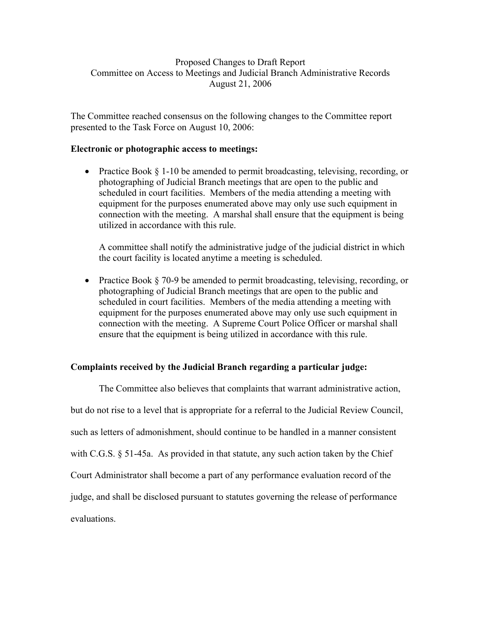## Proposed Changes to Draft Report Committee on Access to Meetings and Judicial Branch Administrative Records August 21, 2006

The Committee reached consensus on the following changes to the Committee report presented to the Task Force on August 10, 2006:

## **Electronic or photographic access to meetings:**

• Practice Book § 1-10 be amended to permit broadcasting, televising, recording, or photographing of Judicial Branch meetings that are open to the public and scheduled in court facilities. Members of the media attending a meeting with equipment for the purposes enumerated above may only use such equipment in connection with the meeting. A marshal shall ensure that the equipment is being utilized in accordance with this rule.

A committee shall notify the administrative judge of the judicial district in which the court facility is located anytime a meeting is scheduled.

• Practice Book § 70-9 be amended to permit broadcasting, televising, recording, or photographing of Judicial Branch meetings that are open to the public and scheduled in court facilities. Members of the media attending a meeting with equipment for the purposes enumerated above may only use such equipment in connection with the meeting. A Supreme Court Police Officer or marshal shall ensure that the equipment is being utilized in accordance with this rule.

## **Complaints received by the Judicial Branch regarding a particular judge:**

 The Committee also believes that complaints that warrant administrative action, but do not rise to a level that is appropriate for a referral to the Judicial Review Council, such as letters of admonishment, should continue to be handled in a manner consistent with C.G.S. § 51-45a. As provided in that statute, any such action taken by the Chief Court Administrator shall become a part of any performance evaluation record of the judge, and shall be disclosed pursuant to statutes governing the release of performance evaluations.